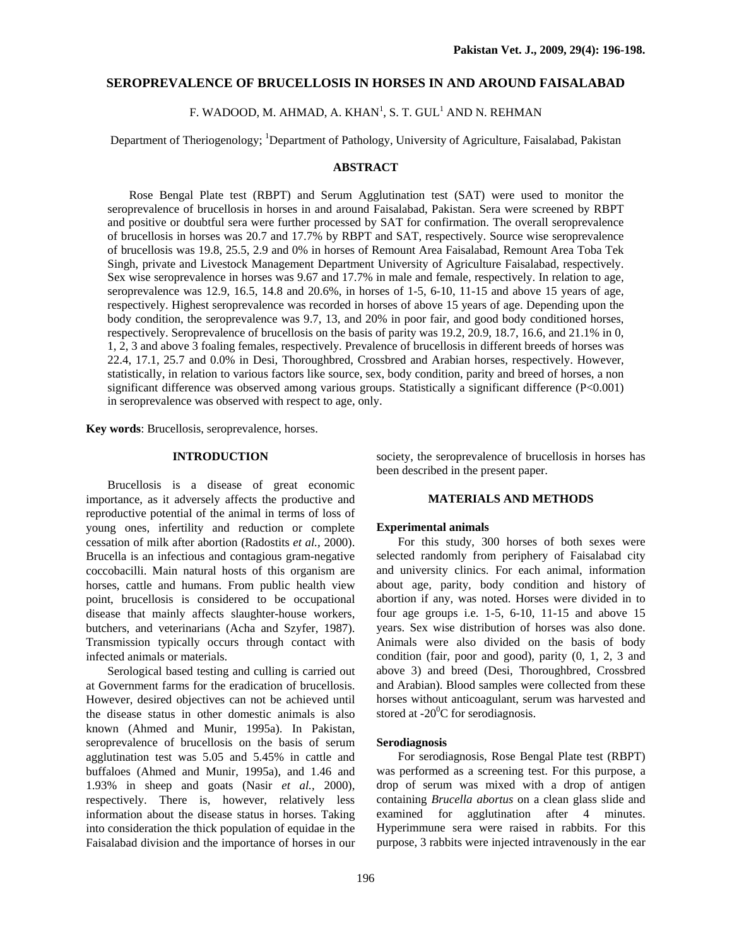# **SEROPREVALENCE OF BRUCELLOSIS IN HORSES IN AND AROUND FAISALABAD**

F. WADOOD, M. AHMAD, A. KHAN $^{\rm l}$ , S. T. GUL $^{\rm l}$  AND N. REHMAN

Department of Theriogenology; <sup>1</sup>Department of Pathology, University of Agriculture, Faisalabad, Pakistan

# **ABSTRACT**

Rose Bengal Plate test (RBPT) and Serum Agglutination test (SAT) were used to monitor the seroprevalence of brucellosis in horses in and around Faisalabad, Pakistan. Sera were screened by RBPT and positive or doubtful sera were further processed by SAT for confirmation. The overall seroprevalence of brucellosis in horses was 20.7 and 17.7% by RBPT and SAT, respectively. Source wise seroprevalence of brucellosis was 19.8, 25.5, 2.9 and 0% in horses of Remount Area Faisalabad, Remount Area Toba Tek Singh, private and Livestock Management Department University of Agriculture Faisalabad, respectively. Sex wise seroprevalence in horses was 9.67 and 17.7% in male and female, respectively. In relation to age, seroprevalence was 12.9, 16.5, 14.8 and 20.6%, in horses of 1-5, 6-10, 11-15 and above 15 years of age, respectively. Highest seroprevalence was recorded in horses of above 15 years of age. Depending upon the body condition, the seroprevalence was 9.7, 13, and 20% in poor fair, and good body conditioned horses, respectively. Seroprevalence of brucellosis on the basis of parity was 19.2, 20.9, 18.7, 16.6, and 21.1% in 0, 1, 2, 3 and above 3 foaling females, respectively. Prevalence of brucellosis in different breeds of horses was 22.4, 17.1, 25.7 and 0.0% in Desi, Thoroughbred, Crossbred and Arabian horses, respectively. However, statistically, in relation to various factors like source, sex, body condition, parity and breed of horses, a non significant difference was observed among various groups. Statistically a significant difference (P<0.001) in seroprevalence was observed with respect to age, only.

**Key words**: Brucellosis, seroprevalence, horses.

## **INTRODUCTION**

Brucellosis is a disease of great economic importance, as it adversely affects the productive and reproductive potential of the animal in terms of loss of young ones, infertility and reduction or complete cessation of milk after abortion (Radostits *et al.,* 2000). Brucella is an infectious and contagious gram-negative coccobacilli. Main natural hosts of this organism are horses, cattle and humans. From public health view point, brucellosis is considered to be occupational disease that mainly affects slaughter-house workers, butchers, and veterinarians (Acha and Szyfer, 1987). Transmission typically occurs through contact with infected animals or materials.

Serological based testing and culling is carried out at Government farms for the eradication of brucellosis. However, desired objectives can not be achieved until the disease status in other domestic animals is also known (Ahmed and Munir, 1995a). In Pakistan, seroprevalence of brucellosis on the basis of serum agglutination test was 5.05 and 5.45% in cattle and buffaloes (Ahmed and Munir, 1995a), and 1.46 and 1.93% in sheep and goats (Nasir *et al.,* 2000), respectively. There is, however, relatively less information about the disease status in horses. Taking into consideration the thick population of equidae in the Faisalabad division and the importance of horses in our

society, the seroprevalence of brucellosis in horses has been described in the present paper.

## **MATERIALS AND METHODS**

#### **Experimental animals**

For this study, 300 horses of both sexes were selected randomly from periphery of Faisalabad city and university clinics. For each animal, information about age, parity, body condition and history of abortion if any, was noted. Horses were divided in to four age groups i.e.  $1-5$ ,  $6-10$ ,  $11-15$  and above  $15$ years. Sex wise distribution of horses was also done. Animals were also divided on the basis of body condition (fair, poor and good), parity (0, 1, 2, 3 and above 3) and breed (Desi, Thoroughbred, Crossbred and Arabian). Blood samples were collected from these horses without anticoagulant, serum was harvested and stored at  $-20^{\circ}$ C for serodiagnosis.

# **Serodiagnosis**

For serodiagnosis, Rose Bengal Plate test (RBPT) was performed as a screening test. For this purpose, a drop of serum was mixed with a drop of antigen containing *Brucella abortus* on a clean glass slide and examined for agglutination after 4 minutes. Hyperimmune sera were raised in rabbits. For this purpose, 3 rabbits were injected intravenously in the ear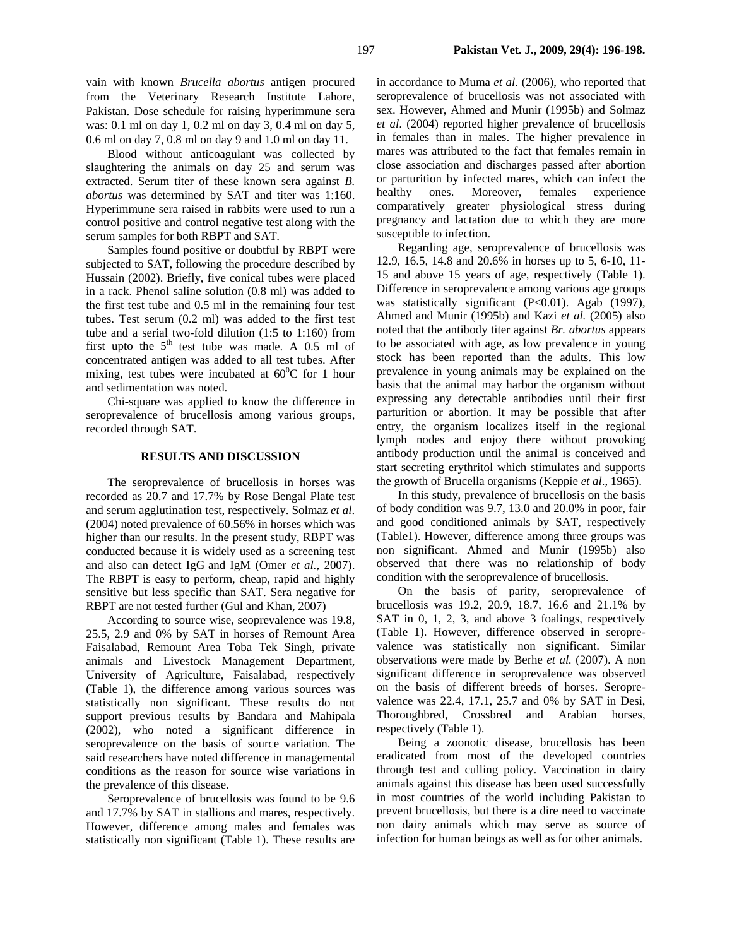vain with known *Brucella abortus* antigen procured from the Veterinary Research Institute Lahore, Pakistan. Dose schedule for raising hyperimmune sera was: 0.1 ml on day 1, 0.2 ml on day 3, 0.4 ml on day 5, 0.6 ml on day 7, 0.8 ml on day 9 and 1.0 ml on day 11.

Blood without anticoagulant was collected by slaughtering the animals on day 25 and serum was extracted. Serum titer of these known sera against *B. abortus* was determined by SAT and titer was 1:160. Hyperimmune sera raised in rabbits were used to run a control positive and control negative test along with the serum samples for both RBPT and SAT.

Samples found positive or doubtful by RBPT were subjected to SAT, following the procedure described by Hussain (2002). Briefly, five conical tubes were placed in a rack. Phenol saline solution (0.8 ml) was added to the first test tube and 0.5 ml in the remaining four test tubes. Test serum (0.2 ml) was added to the first test tube and a serial two-fold dilution (1:5 to 1:160) from first upto the  $5<sup>th</sup>$  test tube was made. A 0.5 ml of concentrated antigen was added to all test tubes. After mixing, test tubes were incubated at  $60^{\circ}$ C for 1 hour and sedimentation was noted.

Chi-square was applied to know the difference in seroprevalence of brucellosis among various groups, recorded through SAT.

### **RESULTS AND DISCUSSION**

The seroprevalence of brucellosis in horses was recorded as 20.7 and 17.7% by Rose Bengal Plate test and serum agglutination test, respectively. Solmaz *et al*. (2004) noted prevalence of 60.56% in horses which was higher than our results. In the present study, RBPT was conducted because it is widely used as a screening test and also can detect IgG and IgM (Omer *et al.,* 2007). The RBPT is easy to perform, cheap, rapid and highly sensitive but less specific than SAT. Sera negative for RBPT are not tested further (Gul and Khan, 2007)

According to source wise, seoprevalence was 19.8, 25.5, 2.9 and 0% by SAT in horses of Remount Area Faisalabad, Remount Area Toba Tek Singh, private animals and Livestock Management Department, University of Agriculture, Faisalabad, respectively (Table 1), the difference among various sources was statistically non significant. These results do not support previous results by Bandara and Mahipala (2002), who noted a significant difference in seroprevalence on the basis of source variation. The said researchers have noted difference in managemental conditions as the reason for source wise variations in the prevalence of this disease.

Seroprevalence of brucellosis was found to be 9.6 and 17.7% by SAT in stallions and mares, respectively. However, difference among males and females was statistically non significant (Table 1). These results are in accordance to Muma *et al.* (2006), who reported that seroprevalence of brucellosis was not associated with sex. However, Ahmed and Munir (1995b) and Solmaz *et al*. (2004) reported higher prevalence of brucellosis in females than in males. The higher prevalence in mares was attributed to the fact that females remain in close association and discharges passed after abortion or parturition by infected mares, which can infect the healthy ones. Moreover, females experience comparatively greater physiological stress during pregnancy and lactation due to which they are more susceptible to infection.

Regarding age, seroprevalence of brucellosis was 12.9, 16.5, 14.8 and 20.6% in horses up to 5, 6-10, 11- 15 and above 15 years of age, respectively (Table 1). Difference in seroprevalence among various age groups was statistically significant (P<0.01). Agab (1997), Ahmed and Munir (1995b) and Kazi *et al.* (2005) also noted that the antibody titer against *Br. abortus* appears to be associated with age, as low prevalence in young stock has been reported than the adults. This low prevalence in young animals may be explained on the basis that the animal may harbor the organism without expressing any detectable antibodies until their first parturition or abortion. It may be possible that after entry, the organism localizes itself in the regional lymph nodes and enjoy there without provoking antibody production until the animal is conceived and start secreting erythritol which stimulates and supports the growth of Brucella organisms (Keppie *et al*., 1965).

In this study, prevalence of brucellosis on the basis of body condition was 9.7, 13.0 and 20.0% in poor, fair and good conditioned animals by SAT, respectively (Table1). However, difference among three groups was non significant. Ahmed and Munir (1995b) also observed that there was no relationship of body condition with the seroprevalence of brucellosis.

On the basis of parity, seroprevalence of brucellosis was 19.2, 20.9, 18.7, 16.6 and 21.1% by SAT in 0, 1, 2, 3, and above 3 foalings, respectively (Table 1). However, difference observed in seroprevalence was statistically non significant. Similar observations were made by Berhe *et al.* (2007). A non significant difference in seroprevalence was observed on the basis of different breeds of horses. Seroprevalence was 22.4, 17.1, 25.7 and 0% by SAT in Desi, Thoroughbred, Crossbred and Arabian horses, respectively (Table 1).

Being a zoonotic disease, brucellosis has been eradicated from most of the developed countries through test and culling policy. Vaccination in dairy animals against this disease has been used successfully in most countries of the world including Pakistan to prevent brucellosis, but there is a dire need to vaccinate non dairy animals which may serve as source of infection for human beings as well as for other animals.